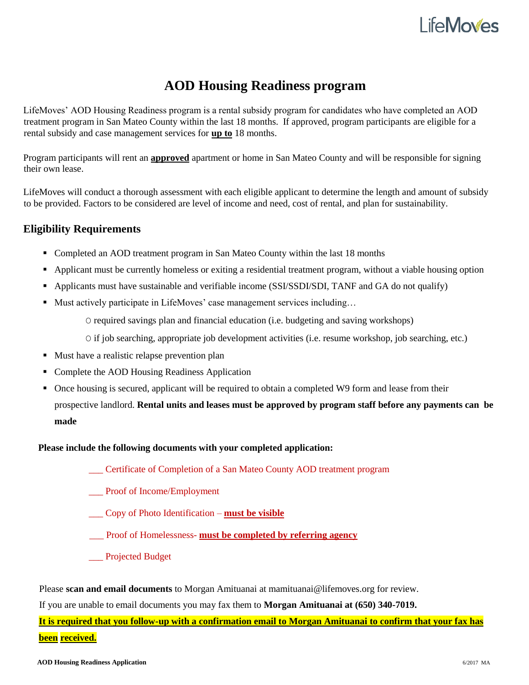### l ife**Moves**

### **AOD Housing Readiness program**

LifeMoves' AOD Housing Readiness program is a rental subsidy program for candidates who have completed an AOD treatment program in San Mateo County within the last 18 months. If approved, program participants are eligible for a rental subsidy and case management services for **up to** 18 months.

Program participants will rent an **approved** apartment or home in San Mateo County and will be responsible for signing their own lease.

LifeMoves will conduct a thorough assessment with each eligible applicant to determine the length and amount of subsidy to be provided. Factors to be considered are level of income and need, cost of rental, and plan for sustainability.

#### **Eligibility Requirements**

- Completed an AOD treatment program in San Mateo County within the last 18 months
- Applicant must be currently homeless or exiting a residential treatment program, without a viable housing option
- Applicants must have sustainable and verifiable income (SSI/SSDI/SDI, TANF and GA do not qualify)
- Must actively participate in LifeMoves' case management services including...

O required savings plan and financial education (i.e. budgeting and saving workshops)

O if job searching, appropriate job development activities (i.e. resume workshop, job searching, etc.)

- Must have a realistic relapse prevention plan
- Complete the AOD Housing Readiness Application
- Once housing is secured, applicant will be required to obtain a completed W9 form and lease from their prospective landlord. **Rental units and leases must be approved by program staff before any payments can be made**

#### **Please include the following documents with your completed application:**

\_\_\_ Certificate of Completion of a San Mateo County AOD treatment program

Proof of Income/Employment

- \_\_\_ Copy of Photo Identification **must be visible**
- \_\_\_ Proof of Homelessness- **must be completed by referring agency**
- \_\_\_ Projected Budget

Please **scan and email documents** to Morgan Amituanai at mamituanai@lifemoves.org for review.

If you are unable to email documents you may fax them to **Morgan Amituanai at (650) 340-7019.** 

**It is required that you follow-up with a confirmation email to Morgan Amituanai to confirm that your fax has been received.**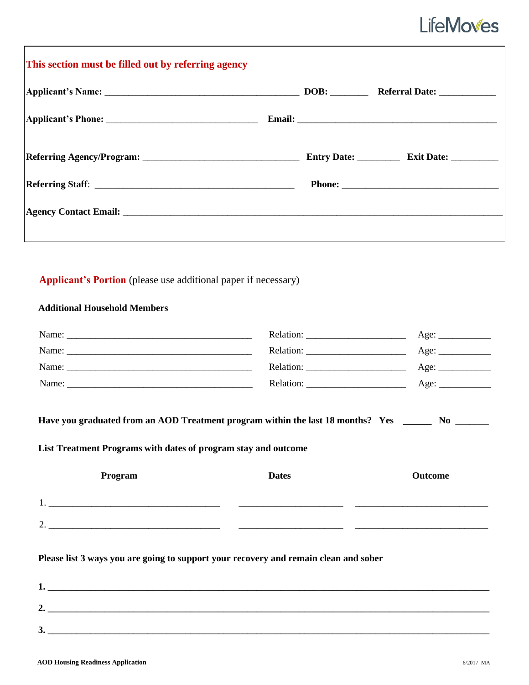# **LifeMoves**

#### **Additional Household Members**

| Name:                                                                                                                                                                |              |                      |  |
|----------------------------------------------------------------------------------------------------------------------------------------------------------------------|--------------|----------------------|--|
|                                                                                                                                                                      |              | Age:                 |  |
|                                                                                                                                                                      |              |                      |  |
|                                                                                                                                                                      |              | Age: $\qquad \qquad$ |  |
| Have you graduated from an AOD Treatment program within the last 18 months? Yes _______ No _______<br>List Treatment Programs with dates of program stay and outcome |              |                      |  |
| Program                                                                                                                                                              | <b>Dates</b> | <b>Outcome</b>       |  |
|                                                                                                                                                                      |              |                      |  |

**Please list 3 ways you are going to support your recovery and remain clean and sober** 

| ∼<br>" |  |
|--------|--|
| J.     |  |

2. \_\_\_\_\_\_\_\_\_\_\_\_\_\_\_\_\_\_\_\_\_\_\_\_\_\_\_\_\_\_\_\_\_\_\_\_\_\_\_\_\_\_\_\_\_\_\_\_\_\_\_\_\_\_\_\_\_\_ \_\_\_\_\_\_\_\_\_\_\_\_\_\_\_\_\_\_\_\_\_\_\_\_\_\_\_\_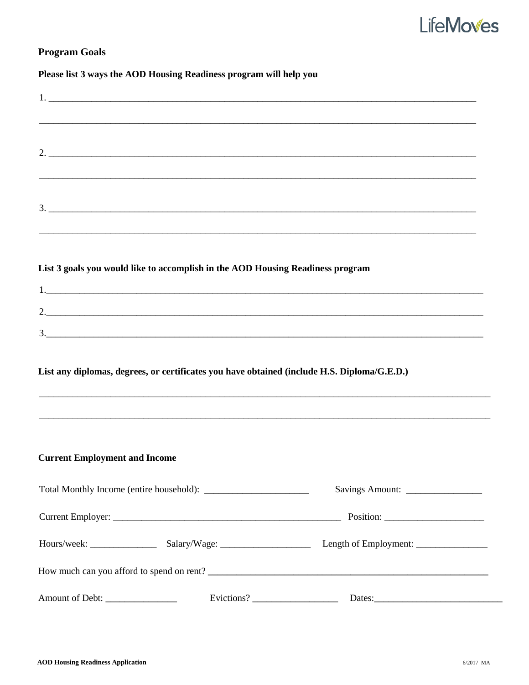# **LifeMoves**

#### **Program Goals**

#### Please list 3 ways the AOD Housing Readiness program will help you

|                                      | $2.$ $\overline{\phantom{a}}$                                                               |                                                                                                    |  |
|--------------------------------------|---------------------------------------------------------------------------------------------|----------------------------------------------------------------------------------------------------|--|
|                                      |                                                                                             | $\frac{3}{2}$<br>,我们也不能在这里的人,我们也不能在这里的人,我们也不能在这里的人,我们也不能在这里的人,我们也不能在这里的人,我们也不能在这里的人,我们也不能在这里的人,我们也 |  |
|                                      | List 3 goals you would like to accomplish in the AOD Housing Readiness program              |                                                                                                    |  |
|                                      |                                                                                             |                                                                                                    |  |
|                                      |                                                                                             | 2.                                                                                                 |  |
|                                      | List any diplomas, degrees, or certificates you have obtained (include H.S. Diploma/G.E.D.) |                                                                                                    |  |
| <b>Current Employment and Income</b> |                                                                                             |                                                                                                    |  |
|                                      |                                                                                             |                                                                                                    |  |
|                                      |                                                                                             |                                                                                                    |  |
|                                      |                                                                                             |                                                                                                    |  |
|                                      |                                                                                             |                                                                                                    |  |
| Amount of Debt:                      |                                                                                             | Evictions?<br>Dates:                                                                               |  |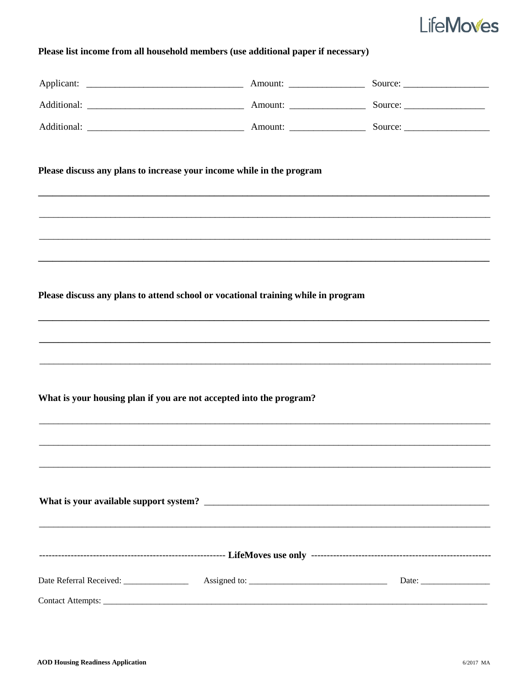## **LifeMoves**

#### Please list income from all household members (use additional paper if necessary)

| Please discuss any plans to increase your income while in the program             |  |
|-----------------------------------------------------------------------------------|--|
|                                                                                   |  |
|                                                                                   |  |
| Please discuss any plans to attend school or vocational training while in program |  |
|                                                                                   |  |
| What is your housing plan if you are not accepted into the program?               |  |
|                                                                                   |  |
|                                                                                   |  |
|                                                                                   |  |
|                                                                                   |  |
|                                                                                   |  |
|                                                                                   |  |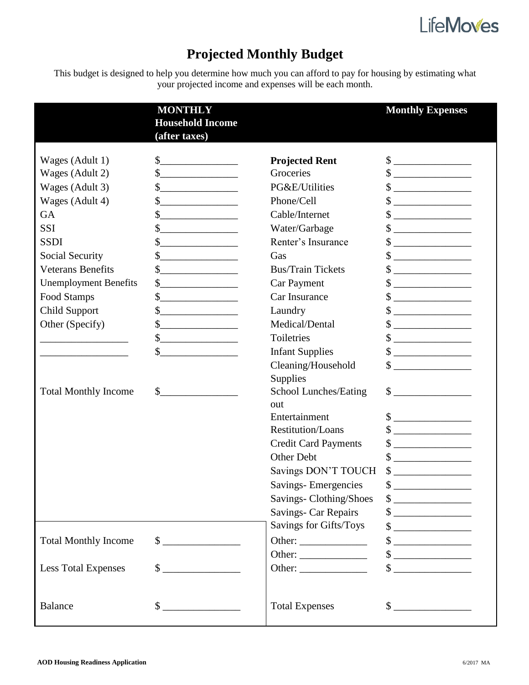

### **Projected Monthly Budget**

This budget is designed to help you determine how much you can afford to pay for housing by estimating what your projected income and expenses will be each month.

|                                                                                                                                                                                                                                                      | <b>MONTHLY</b><br><b>Household Income</b><br>(after taxes)                                                                                                                                                                                                                                                                                                                                                                                                                                                                                                                                                                                                                  |                                                                                                                                                                                                                                                                                                       | <b>Monthly Expenses</b>                                                                                                                                                                                                                                                                                                                                                                                                                                                                                                                                                                                                                                                                                                                |
|------------------------------------------------------------------------------------------------------------------------------------------------------------------------------------------------------------------------------------------------------|-----------------------------------------------------------------------------------------------------------------------------------------------------------------------------------------------------------------------------------------------------------------------------------------------------------------------------------------------------------------------------------------------------------------------------------------------------------------------------------------------------------------------------------------------------------------------------------------------------------------------------------------------------------------------------|-------------------------------------------------------------------------------------------------------------------------------------------------------------------------------------------------------------------------------------------------------------------------------------------------------|----------------------------------------------------------------------------------------------------------------------------------------------------------------------------------------------------------------------------------------------------------------------------------------------------------------------------------------------------------------------------------------------------------------------------------------------------------------------------------------------------------------------------------------------------------------------------------------------------------------------------------------------------------------------------------------------------------------------------------------|
| Wages (Adult 1)<br>Wages (Adult 2)<br>Wages (Adult 3)<br>Wages (Adult 4)<br><b>GA</b><br><b>SSI</b><br><b>SSDI</b><br>Social Security<br><b>Veterans Benefits</b><br><b>Unemployment Benefits</b><br>Food Stamps<br>Child Support<br>Other (Specify) | $\frac{1}{2}$<br>$\sim$<br>$\frac{1}{2}$<br>the control of the control of the con-<br>$\frac{\sqrt{2}}{2}$<br>$\frac{1}{\sqrt{1-\frac{1}{2}}}\frac{1}{\sqrt{1-\frac{1}{2}}}\frac{1}{\sqrt{1-\frac{1}{2}}}\frac{1}{\sqrt{1-\frac{1}{2}}}\frac{1}{\sqrt{1-\frac{1}{2}}}\frac{1}{\sqrt{1-\frac{1}{2}}}\frac{1}{\sqrt{1-\frac{1}{2}}}\frac{1}{\sqrt{1-\frac{1}{2}}}\frac{1}{\sqrt{1-\frac{1}{2}}}\frac{1}{\sqrt{1-\frac{1}{2}}}\frac{1}{\sqrt{1-\frac{1}{2}}}\frac{1}{\sqrt{1-\frac{1}{2}}}\frac{1}{\sqrt{1-\frac{1}{2}}}\frac{1}{\sqrt{1-\frac{$<br>$\frac{\text{S}}{\text{S}}$<br>$\frac{1}{2}$<br>$\frac{\text{S}}{\text{S}}$<br>$\frac{\sqrt{2}}{2}$<br>$\frac{1}{2}$<br>\$ | <b>Projected Rent</b><br>Groceries<br>PG&E/Utilities<br>Phone/Cell<br>Cable/Internet<br>Water/Garbage<br>Renter's Insurance<br>Gas<br><b>Bus/Train Tickets</b><br><b>Car Payment</b><br>Car Insurance<br>Laundry<br>Medical/Dental<br>Toiletries                                                      | $\qquad \qquad \$$<br>$\frac{1}{2}$<br>$\frac{1}{2}$<br>$\qquad \qquad \bullet$<br>$\begin{picture}(20,10) \put(0,0){\vector(1,0){100}} \put(15,0){\vector(1,0){100}} \put(15,0){\vector(1,0){100}} \put(15,0){\vector(1,0){100}} \put(15,0){\vector(1,0){100}} \put(15,0){\vector(1,0){100}} \put(15,0){\vector(1,0){100}} \put(15,0){\vector(1,0){100}} \put(15,0){\vector(1,0){100}} \put(15,0){\vector(1,0){100}} \put(15,0){\vector(1,0){100}} \$<br>$\qquad \qquad \, \text{\bf $s$}\; \underline{\hspace{10mm}}$<br>$\frac{\text{S}}{\text{S}}$<br>$\qquad \qquad \bullet$<br>$\sim$<br>$\frac{\text{S}}{\text{S}}$<br>$\sim$<br>$\qquad \qquad \bullet$<br>$\frac{\text{S}}{\text{S}}$                                         |
| <b>Total Monthly Income</b>                                                                                                                                                                                                                          | $\mathcal{S}_{-}$<br><u> 1986 - Jan Samuel Barbara, politik e</u> ta p<br>$\sim$                                                                                                                                                                                                                                                                                                                                                                                                                                                                                                                                                                                            | <b>Infant Supplies</b><br>Cleaning/Household<br>Supplies<br>School Lunches/Eating<br>out<br>Entertainment<br>Restitution/Loans<br><b>Credit Card Payments</b><br>Other Debt<br>Savings DON'T TOUCH<br>Savings-Emergencies<br>Savings-Clothing/Shoes<br>Savings- Car Repairs<br>Savings for Gifts/Toys | $\sim$<br>$\qquad \qquad \, \text{\bf $s$}\; \underline{\hspace{10mm}}$<br>$\frac{\text{S}}{\text{S}}$<br>$\sim$<br>$\qquad \qquad \, \text{\bf $s$}\; \underline{\hspace{10mm}} \qquad \qquad \, \text{\bf $m$}$<br>$\qquad \qquad \, \text{\bf $s$}\; \underline{\hspace{10mm}} \qquad \qquad \, \text{\bf $p$}$<br>$\frac{\text{S}}{\text{S}}$<br>$\sim$<br>$\sim$<br>$\sim$<br>$\begin{picture}(20,10) \put(0,0){\line(1,0){10}} \put(15,0){\line(1,0){10}} \put(15,0){\line(1,0){10}} \put(15,0){\line(1,0){10}} \put(15,0){\line(1,0){10}} \put(15,0){\line(1,0){10}} \put(15,0){\line(1,0){10}} \put(15,0){\line(1,0){10}} \put(15,0){\line(1,0){10}} \put(15,0){\line(1,0){10}} \put(15,0){\line(1,0){10}} \put(15,0){\line(1$ |
| <b>Total Monthly Income</b><br><b>Less Total Expenses</b>                                                                                                                                                                                            | $\sim$<br>$\sim$                                                                                                                                                                                                                                                                                                                                                                                                                                                                                                                                                                                                                                                            | Other:<br>Other:                                                                                                                                                                                                                                                                                      | $\frac{\text{S}}{\text{S}}$<br>$\sim$<br>$\begin{picture}(20,20) \put(0,0){\vector(1,0){100}} \put(15,0){\vector(1,0){100}} \put(15,0){\vector(1,0){100}} \put(15,0){\vector(1,0){100}} \put(15,0){\vector(1,0){100}} \put(15,0){\vector(1,0){100}} \put(15,0){\vector(1,0){100}} \put(15,0){\vector(1,0){100}} \put(15,0){\vector(1,0){100}} \put(15,0){\vector(1,0){100}} \put(15,0){\vector(1,0){100}} \$<br>$\qquad \qquad \  \, {\sf S} \underline{\hspace{1.5cm}} \underline{\hspace{1.5cm}}$                                                                                                                                                                                                                                    |
| <b>Balance</b>                                                                                                                                                                                                                                       | $\frac{\text{S}}{\text{S}}$                                                                                                                                                                                                                                                                                                                                                                                                                                                                                                                                                                                                                                                 | <b>Total Expenses</b>                                                                                                                                                                                                                                                                                 | $\frac{\text{S}}{\text{S}}$                                                                                                                                                                                                                                                                                                                                                                                                                                                                                                                                                                                                                                                                                                            |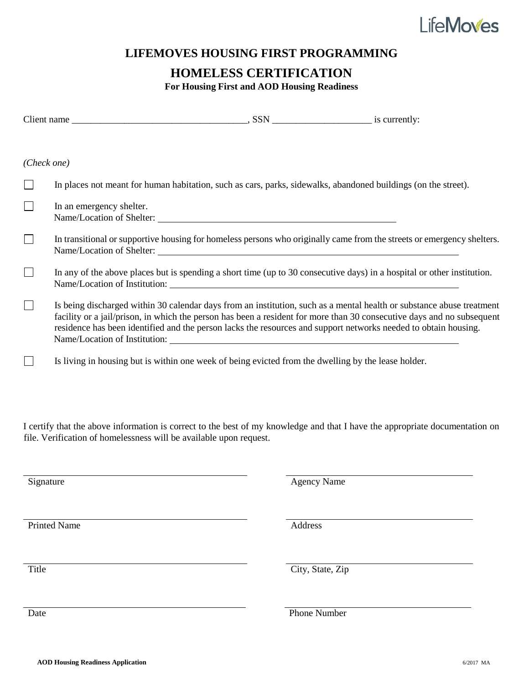

#### **LIFEMOVES HOUSING FIRST PROGRAMMING**

#### **HOMELESS CERTIFICATION**

**For Housing First and AOD Housing Readiness**

| $(Check\ one)$ |                                                                                                                                                                                                                                                                                                                                                                                                     |  |
|----------------|-----------------------------------------------------------------------------------------------------------------------------------------------------------------------------------------------------------------------------------------------------------------------------------------------------------------------------------------------------------------------------------------------------|--|
|                | In places not meant for human habitation, such as cars, parks, sidewalks, abandoned buildings (on the street).                                                                                                                                                                                                                                                                                      |  |
|                | In an emergency shelter.<br>Name/Location of Shelter:                                                                                                                                                                                                                                                                                                                                               |  |
|                | In transitional or supportive housing for homeless persons who originally came from the streets or emergency shelters.<br>Name/Location of Shelter:                                                                                                                                                                                                                                                 |  |
|                | In any of the above places but is spending a short time (up to 30 consecutive days) in a hospital or other institution.<br>Name/Location of Institution:                                                                                                                                                                                                                                            |  |
|                | Is being discharged within 30 calendar days from an institution, such as a mental health or substance abuse treatment<br>facility or a jail/prison, in which the person has been a resident for more than 30 consecutive days and no subsequent<br>residence has been identified and the person lacks the resources and support networks needed to obtain housing.<br>Name/Location of Institution: |  |
|                | Is living in housing but is within one week of being evicted from the dwelling by the lease holder.                                                                                                                                                                                                                                                                                                 |  |

I certify that the above information is correct to the best of my knowledge and that I have the appropriate documentation on file. Verification of homelessness will be available upon request.

| Signature           | <b>Agency Name</b> |
|---------------------|--------------------|
|                     |                    |
|                     |                    |
|                     |                    |
|                     |                    |
| <b>Printed Name</b> | Address            |
|                     |                    |
|                     |                    |
|                     |                    |
|                     |                    |
| Title               | City, State, Zip   |
|                     |                    |
|                     |                    |
|                     |                    |
|                     |                    |
| Date                | Phone Number       |
|                     |                    |